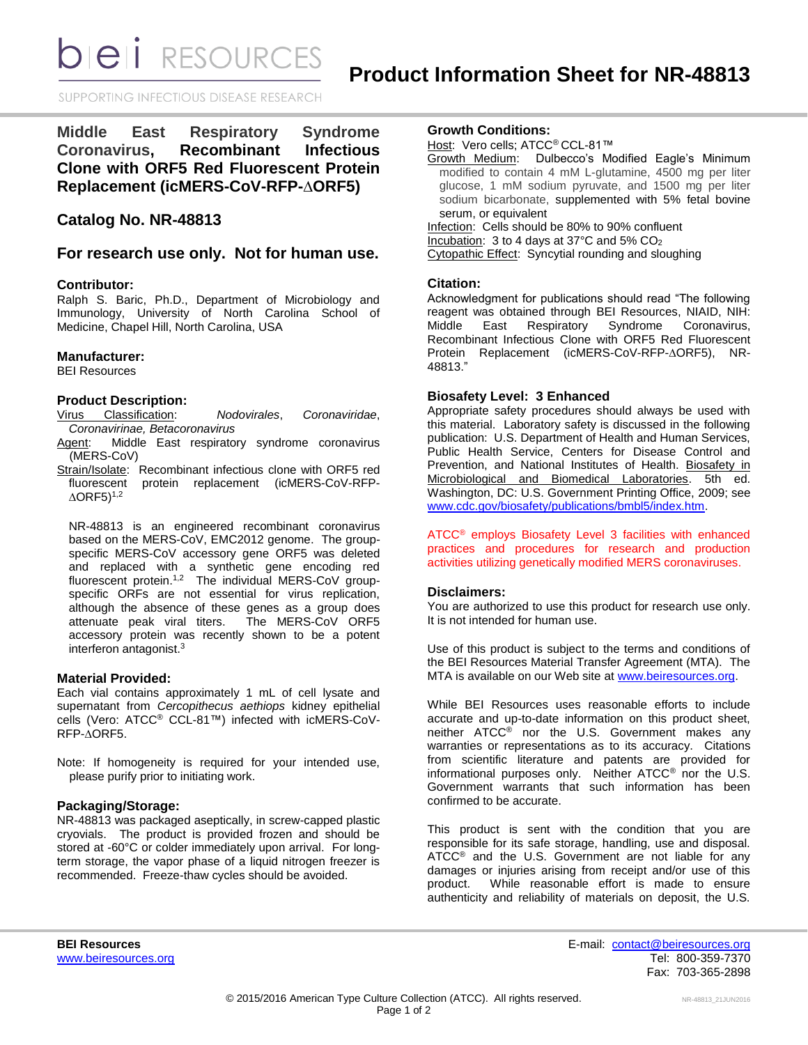**bieli** RESOURCES

SUPPORTING INFECTIOUS DISEASE RESEARCH

**Middle East Respiratory Syndrome Coronavirus, Recombinant Infectious Clone with ORF5 Red Fluorescent Protein Replacement (icMERS-CoV-RFP-∆ORF5)**

# **Catalog No. NR-48813**

# **For research use only. Not for human use.**

# **Contributor:**

Ralph S. Baric, Ph.D., Department of Microbiology and Immunology, University of North Carolina School of Medicine, Chapel Hill, North Carolina, USA

## **Manufacturer:**

BEI Resources

# **Product Description:**

Virus Classification: *Nodovirales*, *Coronaviridae*, *Coronavirinae, Betacoronavirus*

- Agent: Middle East respiratory syndrome coronavirus (MERS-CoV)
- Strain/Isolate: Recombinant infectious clone with ORF5 red fluorescent protein replacement (icMERS-CoV-RFP-  $\Delta$ ORF5) $^{1,2}$

NR-48813 is an engineered recombinant coronavirus based on the MERS-CoV, EMC2012 genome. The groupspecific MERS-CoV accessory gene ORF5 was deleted and replaced with a synthetic gene encoding red fluorescent protein.<sup>1,2</sup> The individual MERS-CoV groupspecific ORFs are not essential for virus replication, although the absence of these genes as a group does attenuate peak viral titers. The MERS-CoV ORF5 accessory protein was recently shown to be a potent interferon antagonist.<sup>3</sup>

## **Material Provided:**

Each vial contains approximately 1 mL of cell lysate and supernatant from *Cercopithecus aethiops* kidney epithelial cells (Vero: ATCC® CCL-81™) infected with icMERS-CoV-RFP-∆ORF5.

Note: If homogeneity is required for your intended use, please purify prior to initiating work.

# **Packaging/Storage:**

NR-48813 was packaged aseptically, in screw-capped plastic cryovials. The product is provided frozen and should be stored at -60°C or colder immediately upon arrival. For longterm storage, the vapor phase of a liquid nitrogen freezer is recommended. Freeze-thaw cycles should be avoided.

#### **Growth Conditions:**

Host: Vero cells; ATCC<sup>®</sup> CCL-81™

Growth Medium: Dulbecco's Modified Eagle's Minimum modified to contain 4 mM L-glutamine, 4500 mg per liter glucose, 1 mM sodium pyruvate, and 1500 mg per liter sodium bicarbonate, supplemented with 5% fetal bovine serum, or equivalent

Infection: Cells should be 80% to 90% confluent Incubation: 3 to 4 days at 37°C and 5% CO<sup>2</sup> Cytopathic Effect: Syncytial rounding and sloughing

# **Citation:**

Acknowledgment for publications should read "The following reagent was obtained through BEI Resources, NIAID, NIH:<br>Middle East Respiratory Syndrome Coronavirus. Middle East Respiratory Syndrome Recombinant Infectious Clone with ORF5 Red Fluorescent Protein Replacement (icMERS-CoV-RFP-∆ORF5), NR-48813."

# **Biosafety Level: 3 Enhanced**

Appropriate safety procedures should always be used with this material. Laboratory safety is discussed in the following publication: U.S. Department of Health and Human Services, Public Health Service, Centers for Disease Control and Prevention, and National Institutes of Health. Biosafety in Microbiological and Biomedical Laboratories. 5th ed. Washington, DC: U.S. Government Printing Office, 2009; see [www.cdc.gov/biosafety/publications/bmbl5/index.htm.](http://www.cdc.gov/biosafety/publications/bmbl5/index.htm)

ATCC® employs Biosafety Level 3 facilities with enhanced practices and procedures for research and production activities utilizing genetically modified MERS coronaviruses.

### **Disclaimers:**

You are authorized to use this product for research use only. It is not intended for human use.

Use of this product is subject to the terms and conditions of the BEI Resources Material Transfer Agreement (MTA). The MTA is available on our Web site at [www.beiresources.org.](http://www.beiresources.org/)

While BEI Resources uses reasonable efforts to include accurate and up-to-date information on this product sheet, neither ATCC<sup>®</sup> nor the U.S. Government makes any warranties or representations as to its accuracy. Citations from scientific literature and patents are provided for informational purposes only. Neither ATCC® nor the U.S. Government warrants that such information has been confirmed to be accurate.

This product is sent with the condition that you are responsible for its safe storage, handling, use and disposal. ATCC<sup>®</sup> and the U.S. Government are not liable for any damages or injuries arising from receipt and/or use of this product. While reasonable effort is made to ensure authenticity and reliability of materials on deposit, the U.S.

**BEI Resources** E-mail: [contact@beiresources.org](mailto:contact@beiresources.org) [www.beiresources.org](http://www.beiresources.org/) **Tel: 800-359-7370** Fax: 703-365-2898